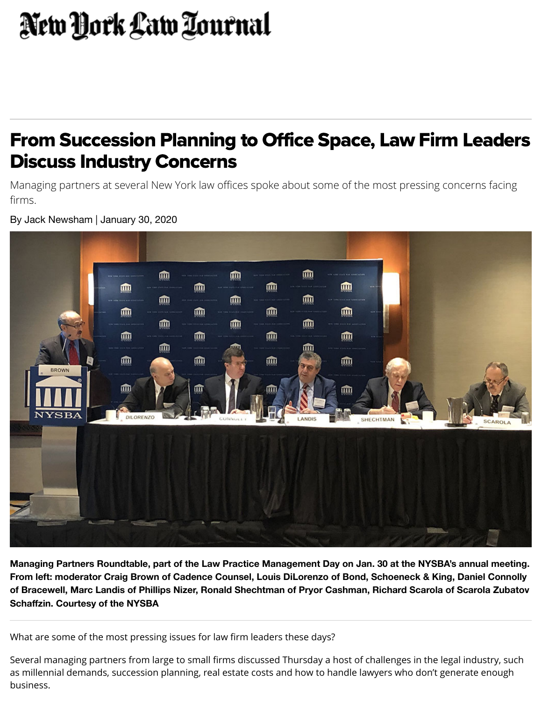## New York Law Tournal

## From Succession Planning to Office Space, Law Firm Leaders Discuss Industry Concerns

Managing partners at several New York law offices spoke about some of the most pressing concerns facing firms.

血 血 血 血 ⋒ m 血 血 血 **um** 血 血 血 ⋒ 血 血 而 血 血 血 血 而 血 血 血 而 血 m ⋒ **DILORENZO** SHECHTMAN

By Jack Newsham | January 30, 2020

**Managing Partners Roundtable, part of the Law Practice Management Day on Jan. 30 at the NYSBA's annual meeting. From left: moderator Craig Brown of Cadence Counsel, Louis DiLorenzo of Bond, Schoeneck & King, Daniel Connolly of Bracewell, Marc Landis of Phillips Nizer, Ronald Shechtman of Pryor Cashman, Richard Scarola of Scarola Zubatov Schaffzin. Courtesy of the NYSBA**

What are some of the most pressing issues for law firm leaders these days?

Several managing partners from large to small firms discussed Thursday a host of challenges in the legal industry, such as millennial demands, succession planning, real estate costs and how to handle lawyers who don't generate enough business.